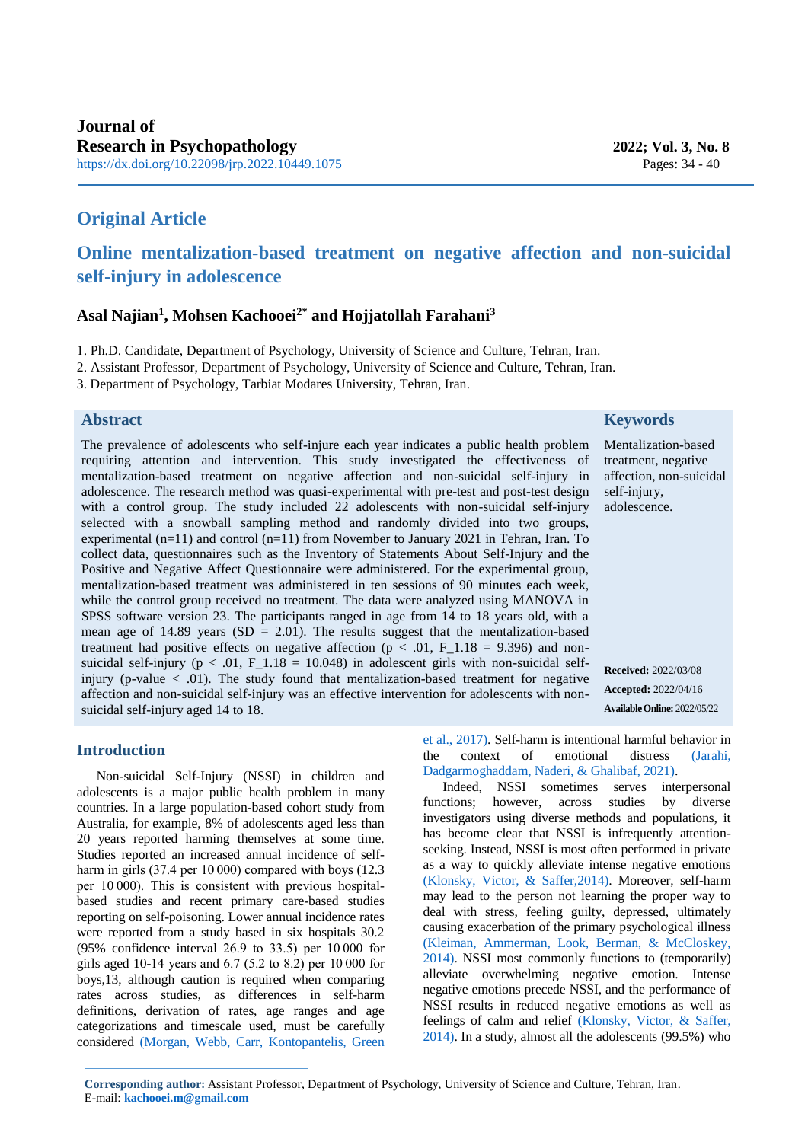## **Original Article**

# **Online mentalization-based treatment on negative affection and non-suicidal self-injury in adolescence**

## **Asal Najian<sup>1</sup> , Mohsen Kachooei2\* and Hojjatollah Farahani<sup>3</sup>**

1. Ph.D. Candidate, Department of Psychology, University of Science and Culture, Tehran, Iran.

2. Assistant Professor, Department of Psychology, University of Science and Culture, Tehran, Iran.

3. Department of Psychology, Tarbiat Modares University, Tehran, Iran.

#### **Abstract**

The prevalence of adolescents who self-injure each year indicates a public health problem requiring attention and intervention. This study investigated the effectiveness of mentalization-based treatment on negative affection and non-suicidal self-injury in adolescence. The research method was quasi-experimental with pre-test and post-test design with a control group. The study included 22 adolescents with non-suicidal self-injury selected with a snowball sampling method and randomly divided into two groups, experimental (n=11) and control (n=11) from November to January 2021 in Tehran, Iran. To collect data, questionnaires such as the Inventory of Statements About Self-Injury and the Positive and Negative Affect Questionnaire were administered. For the experimental group, mentalization-based treatment was administered in ten sessions of 90 minutes each week, while the control group received no treatment. The data were analyzed using MANOVA in SPSS software version 23. The participants ranged in age from 14 to 18 years old, with a mean age of 14.89 years  $(SD = 2.01)$ . The results suggest that the mentalization-based treatment had positive effects on negative affection ( $p < .01$ , F 1.18 = 9.396) and nonsuicidal self-injury ( $p < .01$ , F<sub>1.18</sub> = 10.048) in adolescent girls with non-suicidal selfinjury (p-value  $\langle$  .01). The study found that mentalization-based treatment for negative affection and non-suicidal self-injury was an effective intervention for adolescents with nonsuicidal self-injury aged 14 to 18.

## **Keywords**

Mentalization-based treatment, negative affection, non-suicidal self-injury, adolescence.

<span id="page-0-0"></span>**Received:** 2022/03/08 **Accepted:** 2022/04/16 **AvailableOnline:** 2022/05/22

### **Introduction**

Non-suicidal Self-Injury (NSSI) in children and adolescents is a major public health problem in many countries. In a large population-based cohort study from Australia, for example, 8% of adolescents aged less than 20 years reported harming themselves at some time. Studies reported an increased annual incidence of selfharm in girls (37.4 per 10 000) compared with boys (12.3) per 10 000). This is consistent with previous hospitalbased studies and recent primary care-based studies reporting on self-poisoning. Lower annual incidence rates were reported from a study based in six hospitals 30.2 (95% confidence interval 26.9 to 33.5) per 10 000 for girls aged 10-14 years and 6.7 (5.2 to 8.2) per 10 000 for boys,13, although caution is required when comparing rates across studies, as differences in self-harm definitions, derivation of rates, age ranges and age categorizations and timescale used, must be carefully considered [\(Morgan, Webb, Carr, Kontopantelis, Green](#page-6-0)  [et al., 2017\).](#page-6-0) Self-harm is intentional harmful behavior in the context of emotional distress [\(Jarahi,](#page-6-1)  [Dadgarmoghaddam, Naderi, & Ghalibaf, 2021\).](#page-6-1)

<span id="page-0-2"></span><span id="page-0-1"></span>Indeed, NSSI sometimes serves interpersonal functions; however, across studies by diverse investigators using diverse methods and populations, it has become clear that NSSI is infrequently attentionseeking. Instead, NSSI is most often performed in private as a way to quickly alleviate intense negative emotions [\(Klonsky, Victor, & Saffer,2014\).](#page-6-2) Moreover, self-harm may lead to the person not learning the proper way to deal with stress, feeling guilty, depressed, ultimately causing exacerbation of the primary psychological illness [\(Kleiman, Ammerman, Look, Berman, & McCloskey,](#page-6-3)  [2014\).](#page-6-3) NSSI most commonly functions to (temporarily) alleviate overwhelming negative emotion. Intense negative emotions precede NSSI, and the performance of NSSI results in reduced negative emotions as well as feelings of calm and relief [\(Klonsky, Victor, & Saffer,](#page-6-2)  [2014\).](#page-6-2) In a study, almost all the adolescents (99.5%) who

<span id="page-0-3"></span>1 **Corresponding author:** Assistant Professor, Department of Psychology, University of Science and Culture, Tehran, Iran. E-mail[:](mailto:kachooei.m@gmail.com) **[kachooei.m@gmail.com](mailto:kachooei.m@gmail.com)**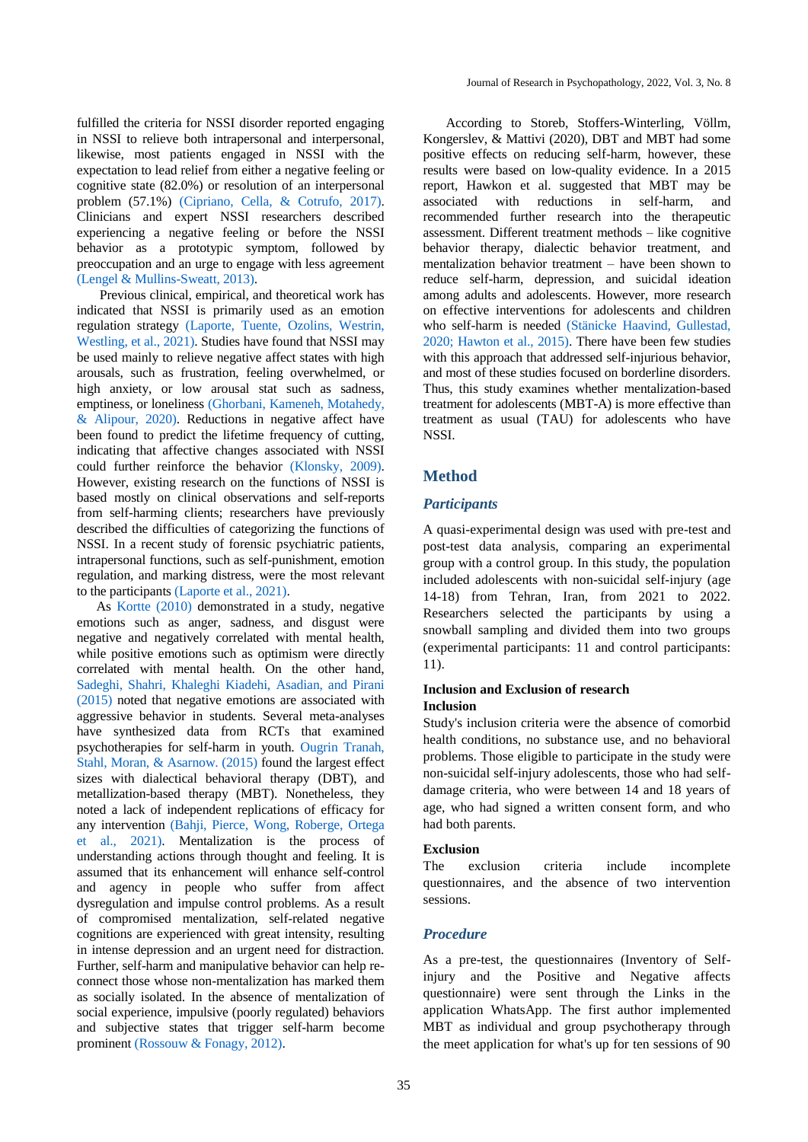<span id="page-1-1"></span>fulfilled the criteria for NSSI disorder reported engaging in NSSI to relieve both intrapersonal and interpersonal, likewise, most patients engaged in NSSI with the expectation to lead relief from either a negative feeling or cognitive state (82.0%) or resolution of an interpersonal problem (57.1%) [\(Cipriano, Cella, & Cotrufo, 2017\).](#page-5-0) Clinicians and expert NSSI researchers described experiencing a negative feeling or before the NSSI behavior as a prototypic symptom, followed by preoccupation and an urge to engage with less agreement [\(Lengel & Mullins-Sweatt, 2013\).](#page-6-4)

<span id="page-1-7"></span><span id="page-1-6"></span><span id="page-1-2"></span>Previous clinical, empirical, and theoretical work has indicated that NSSI is primarily used as an emotion regulation strategy [\(Laporte, Tuente, Ozolins, Westrin,](#page-6-5)  [Westling, et al., 2021\).](#page-6-5) Studies have found that NSSI may be used mainly to relieve negative affect states with high arousals, such as frustration, feeling overwhelmed, or high anxiety, or low arousal stat such as sadness, emptiness, or loneliness [\(Ghorbani, Kameneh, Motahedy,](#page-5-1)  [& Alipour, 2020\).](#page-5-1) Reductions in negative affect have been found to predict the lifetime frequency of cutting, indicating that affective changes associated with NSSI could further reinforce the behavior [\(Klonsky, 2009\).](#page-6-6) However, existing research on the functions of NSSI is based mostly on clinical observations and self-reports from self-harming clients; researchers have previously described the difficulties of categorizing the functions of NSSI. In a recent study of forensic psychiatric patients, intrapersonal functions, such as self-punishment, emotion regulation, and marking distress, were the most relevant to the participants [\(Laporte et al., 2021\).](#page-6-5)

<span id="page-1-10"></span><span id="page-1-5"></span><span id="page-1-0"></span>As [Kortte \(2010\)](#page-6-7) demonstrated in a study, negative emotions such as anger, sadness, and disgust were negative and negatively correlated with mental health, while positive emotions such as optimism were directly correlated with mental health. On the other hand, [Sadeghi, Shahri, Khaleghi Kiadehi, Asadian, and Pirani](#page-6-8)  [\(2015\)](#page-6-8) noted that negative emotions are associated with aggressive behavior in students. Several meta-analyses have synthesized data from RCTs that examined psychotherapies for self-harm in youth. [Ougrin Tranah,](#page-6-9)  [Stahl, Moran, & Asarnow. \(2015\)](#page-6-9) found the largest effect sizes with dialectical behavioral therapy (DBT), and metallization-based therapy (MBT). Nonetheless, they noted a lack of independent replications of efficacy for any intervention [\(Bahji, Pierce, Wong, Roberge, Ortega](#page-5-2)  [et al., 2021\).](#page-5-2) Mentalization is the process of understanding actions through thought and feeling. It is assumed that its enhancement will enhance self-control and agency in people who suffer from affect dysregulation and impulse control problems. As a result of compromised mentalization, self-related negative cognitions are experienced with great intensity, resulting in intense depression and an urgent need for distraction. Further, self-harm and manipulative behavior can help reconnect those whose non-mentalization has marked them as socially isolated. In the absence of mentalization of social experience, impulsive (poorly regulated) behaviors and subjective states that trigger self-harm become prominent [\(Rossouw & Fonagy, 2012\).](#page-6-10)

According to Storeb, Stoffers-Winterling, Völlm, Kongerslev, & Mattivi (2020), DBT and MBT had some positive effects on reducing self-harm, however, these results were based on low-quality evidence. In a 2015 report, Hawkon et al. suggested that MBT may be associated with reductions in self-harm, and recommended further research into the therapeutic assessment. Different treatment methods – like cognitive behavior therapy, dialectic behavior treatment, and mentalization behavior treatment – have been shown to reduce self-harm, depression, and suicidal ideation among adults and adolescents. However, more research on effective interventions for adolescents and children who self-harm is needed [\(Stänicke Haavind, Gullestad,](#page-6-11)  [2020;](#page-6-11) [Hawton et al., 2015\).](#page-6-12) There have been few studies with this approach that addressed self-injurious behavior, and most of these studies focused on borderline disorders. Thus, this study examines whether mentalization-based treatment for adolescents (MBT-A) is more effective than treatment as usual (TAU) for adolescents who have NSSI.

### <span id="page-1-11"></span><span id="page-1-4"></span><span id="page-1-3"></span>**Method**

#### *Participants*

A quasi-experimental design was used with pre-test and post-test data analysis, comparing an experimental group with a control group. In this study, the population included adolescents with non-suicidal self-injury (age 14-18) from Tehran, Iran, from 2021 to 2022. Researchers selected the participants by using a snowball sampling and divided them into two groups (experimental participants: 11 and control participants: 11).

### **Inclusion and Exclusion of research Inclusion**

<span id="page-1-8"></span>Study's inclusion criteria were the absence of comorbid health conditions, no substance use, and no behavioral problems. Those eligible to participate in the study were non-suicidal self-injury adolescents, those who had selfdamage criteria, who were between 14 and 18 years of age, who had signed a written consent form, and who had both parents.

#### **Exclusion**

The exclusion criteria include incomplete questionnaires, and the absence of two intervention sessions.

#### *Procedure*

<span id="page-1-9"></span>As a pre-test, the questionnaires (Inventory of Selfinjury and the Positive and Negative affects questionnaire) were sent through the Links in the application WhatsApp. The first author implemented MBT as individual and group psychotherapy through the meet application for what's up for ten sessions of 90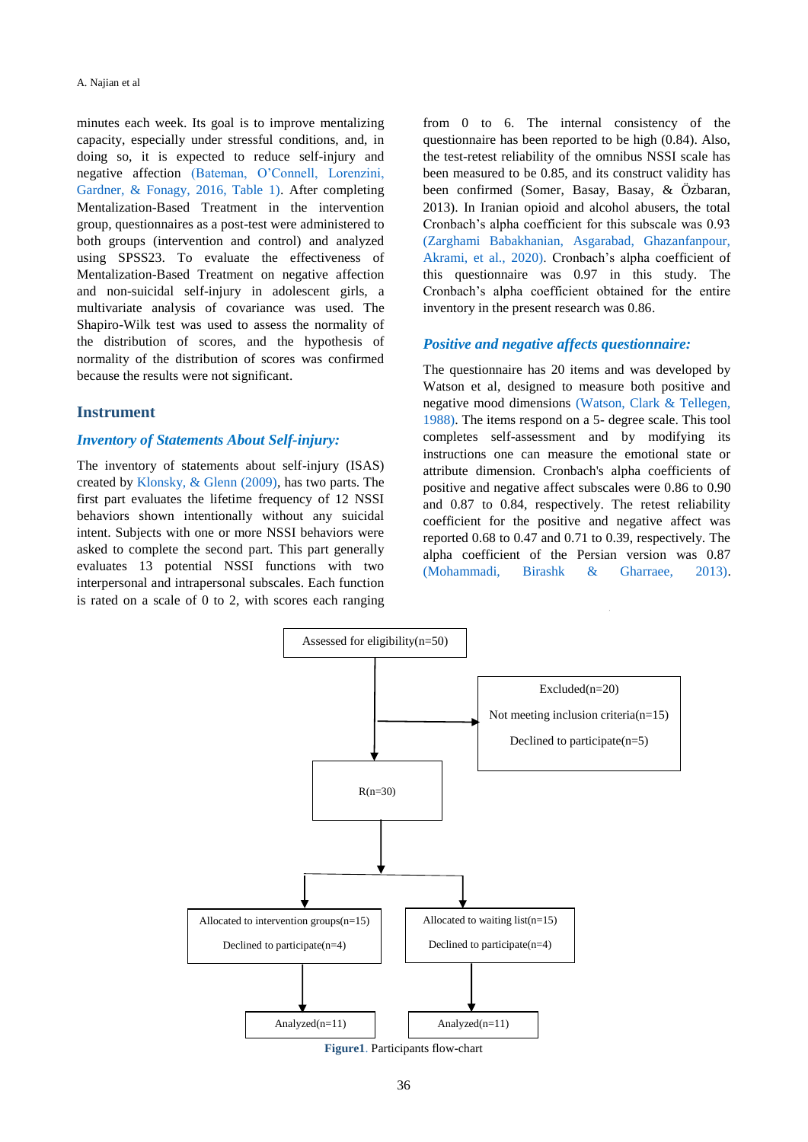<span id="page-2-0"></span>minutes each week. Its goal is to improve mentalizing capacity, especially under stressful conditions, and, in doing so, it is expected to reduce self-injury and negative affection [\(Bateman, O'Connell, Lorenzini,](#page-5-3)  [Gardner, & Fonagy, 2016, Table 1\).](#page-5-3) After completing Mentalization-Based Treatment in the intervention group, questionnaires as a post-test were administered to both groups (intervention and control) and analyzed using SPSS23. To evaluate the effectiveness of Mentalization-Based Treatment on negative affection and non-suicidal self-injury in adolescent girls, a multivariate analysis of covariance was used. The Shapiro-Wilk test was used to assess the normality of the distribution of scores, and the hypothesis of normality of the distribution of scores was confirmed because the results were not significant.

### **Instrument**

#### *Inventory of Statements About Self-injury:*

<span id="page-2-1"></span>The inventory of statements about self-injury (ISAS) created by [Klonsky, & Glenn \(2009\),](#page-6-13) has two parts. The first part evaluates the lifetime frequency of 12 NSSI behaviors shown intentionally without any suicidal intent. Subjects with one or more NSSI behaviors were asked to complete the second part. This part generally evaluates 13 potential NSSI functions with two interpersonal and intrapersonal subscales. Each function is rated on a scale of 0 to 2, with scores each ranging from 0 to 6. The internal consistency of the questionnaire has been reported to be high (0.84). Also, the test-retest reliability of the omnibus NSSI scale has been measured to be 0.85, and its construct validity has been confirmed (Somer, Basay, Basay, & Özbaran, 2013). In Iranian opioid and alcohol abusers, the total Cronbach's alpha coefficient for this subscale was 0.93 [\(Zarghami Babakhanian, Asgarabad, Ghazanfanpour,](#page-6-14)  [Akrami, et al., 2020\).](#page-6-14) Cronbach's alpha coefficient of this questionnaire was 0.97 in this study. The Cronbach's alpha coefficient obtained for the entire inventory in the present research was 0.86.

#### <span id="page-2-4"></span>*Positive and negative affects questionnaire:*

<span id="page-2-3"></span><span id="page-2-2"></span>The questionnaire has 20 items and was developed by Watson et al, designed to measure both positive and negative mood dimensions [\(Watson, Clark & Tellegen,](#page-6-15)  [1988\).](#page-6-15) The items respond on a 5- degree scale. This tool completes self-assessment and by modifying its instructions one can measure the emotional state or attribute dimension. Cronbach's alpha coefficients of positive and negative affect subscales were 0.86 to 0.90 and 0.87 to 0.84, respectively. The retest reliability coefficient for the positive and negative affect was reported 0.68 to 0.47 and 0.71 to 0.39, respectively. The alpha coefficient of the Persian version was 0.87 [\(Mohammadi, Birashk & Gharraee, 2013\).](#page-6-16)

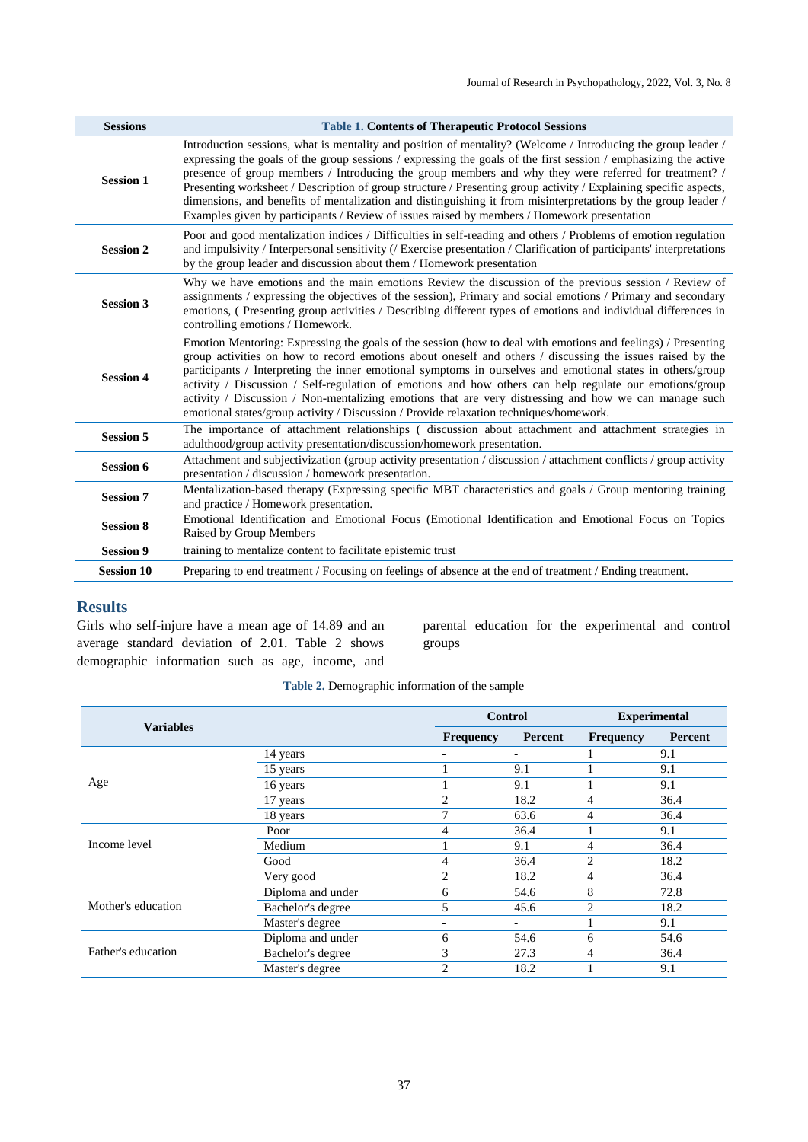| <b>Sessions</b>   | <b>Table 1. Contents of Therapeutic Protocol Sessions</b>                                                                                                                                                                                                                                                                                                                                                                                                                                                                                                                                                                                                                     |
|-------------------|-------------------------------------------------------------------------------------------------------------------------------------------------------------------------------------------------------------------------------------------------------------------------------------------------------------------------------------------------------------------------------------------------------------------------------------------------------------------------------------------------------------------------------------------------------------------------------------------------------------------------------------------------------------------------------|
| <b>Session 1</b>  | Introduction sessions, what is mentality and position of mentality? (Welcome / Introducing the group leader /<br>expressing the goals of the group sessions / expressing the goals of the first session / emphasizing the active<br>presence of group members / Introducing the group members and why they were referred for treatment? /<br>Presenting worksheet / Description of group structure / Presenting group activity / Explaining specific aspects,<br>dimensions, and benefits of mentalization and distinguishing it from misinterpretations by the group leader /<br>Examples given by participants / Review of issues raised by members / Homework presentation |
| <b>Session 2</b>  | Poor and good mentalization indices / Difficulties in self-reading and others / Problems of emotion regulation<br>and impulsivity / Interpersonal sensitivity (/ Exercise presentation / Clarification of participants' interpretations<br>by the group leader and discussion about them / Homework presentation                                                                                                                                                                                                                                                                                                                                                              |
| <b>Session 3</b>  | Why we have emotions and the main emotions Review the discussion of the previous session / Review of<br>assignments / expressing the objectives of the session), Primary and social emotions / Primary and secondary<br>emotions, (Presenting group activities / Describing different types of emotions and individual differences in<br>controlling emotions / Homework.                                                                                                                                                                                                                                                                                                     |
| <b>Session 4</b>  | Emotion Mentoring: Expressing the goals of the session (how to deal with emotions and feelings) / Presenting<br>group activities on how to record emotions about oneself and others / discussing the issues raised by the<br>participants / Interpreting the inner emotional symptoms in ourselves and emotional states in others/group<br>activity / Discussion / Self-regulation of emotions and how others can help regulate our emotions/group<br>activity / Discussion / Non-mentalizing emotions that are very distressing and how we can manage such<br>emotional states/group activity / Discussion / Provide relaxation techniques/homework.                         |
| <b>Session 5</b>  | The importance of attachment relationships (discussion about attachment and attachment strategies in<br>adulthood/group activity presentation/discussion/homework presentation.                                                                                                                                                                                                                                                                                                                                                                                                                                                                                               |
| <b>Session 6</b>  | Attachment and subjectivization (group activity presentation / discussion / attachment conflicts / group activity<br>presentation / discussion / homework presentation.                                                                                                                                                                                                                                                                                                                                                                                                                                                                                                       |
| <b>Session 7</b>  | Mentalization-based therapy (Expressing specific MBT characteristics and goals / Group mentoring training<br>and practice / Homework presentation.                                                                                                                                                                                                                                                                                                                                                                                                                                                                                                                            |
| <b>Session 8</b>  | Emotional Identification and Emotional Focus (Emotional Identification and Emotional Focus on Topics<br>Raised by Group Members                                                                                                                                                                                                                                                                                                                                                                                                                                                                                                                                               |
| <b>Session 9</b>  | training to mentalize content to facilitate epistemic trust                                                                                                                                                                                                                                                                                                                                                                                                                                                                                                                                                                                                                   |
| <b>Session 10</b> | Preparing to end treatment / Focusing on feelings of absence at the end of treatment / Ending treatment.                                                                                                                                                                                                                                                                                                                                                                                                                                                                                                                                                                      |

## **Results**

Girls who self-injure have a mean age of 14.89 and an average standard deviation of 2.01. Table 2 shows demographic information such as age, income, and parental education for the experimental and control groups

## **Table 2.** Demographic information of the sample

|                    |                   |                | <b>Control</b>           | <b>Experimental</b> |      |  |
|--------------------|-------------------|----------------|--------------------------|---------------------|------|--|
| <b>Variables</b>   | <b>Frequency</b>  | Percent        | <b>Frequency</b>         | Percent             |      |  |
|                    | 14 years          | -              | $\overline{\phantom{a}}$ |                     | 9.1  |  |
|                    | 15 years          |                | 9.1                      |                     | 9.1  |  |
| Age                | 16 years          |                | 9.1                      |                     | 9.1  |  |
|                    | 17 years          | 2              | 18.2                     | 4                   | 36.4 |  |
|                    | 18 years          | 7              | 63.6                     | 4                   | 36.4 |  |
|                    | Poor              | 4              | 36.4                     |                     | 9.1  |  |
| Income level       | Medium            |                | 9.1                      | 4                   | 36.4 |  |
|                    | Good              | 4              | 36.4                     | $\mathfrak{D}$      | 18.2 |  |
|                    | Very good         | 2              | 18.2                     | 4                   | 36.4 |  |
|                    | Diploma and under | 6              | 54.6                     | 8                   | 72.8 |  |
| Mother's education | Bachelor's degree | 5              | 45.6                     | $\overline{c}$      | 18.2 |  |
|                    | Master's degree   |                | $\overline{\phantom{a}}$ |                     | 9.1  |  |
|                    | Diploma and under | 6              | 54.6                     | 6                   | 54.6 |  |
| Father's education | Bachelor's degree | 3              | 27.3                     | 4                   | 36.4 |  |
|                    | Master's degree   | $\overline{c}$ | 18.2                     |                     | 9.1  |  |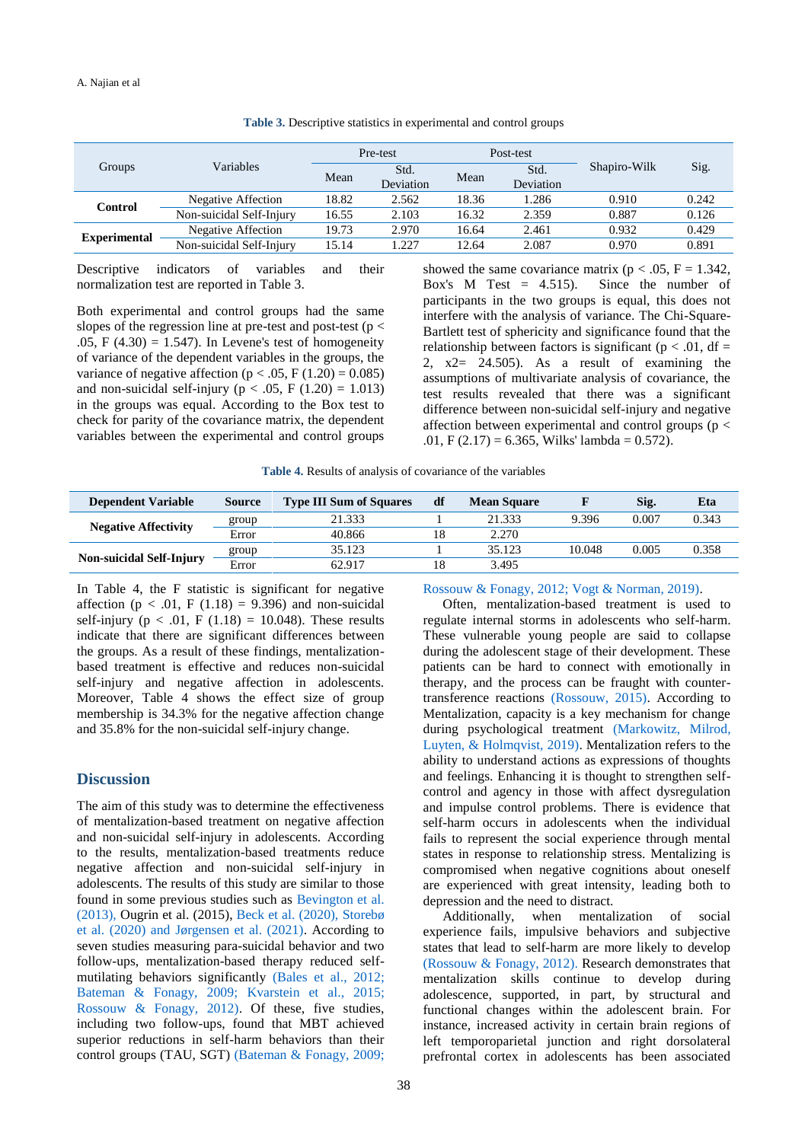| Groups              | Variables                 | Pre-test |                   | Post-test |                   |              |       |
|---------------------|---------------------------|----------|-------------------|-----------|-------------------|--------------|-------|
|                     |                           | Mean     | Std.<br>Deviation | Mean      | Std.<br>Deviation | Shapiro-Wilk | Sig.  |
| <b>Control</b>      | <b>Negative Affection</b> | 18.82    | 2.562             | 18.36     | 1.286             | 0.910        | 0.242 |
|                     | Non-suicidal Self-Injury  | 16.55    | 2.103             | 16.32     | 2.359             | 0.887        | 0.126 |
| <b>Experimental</b> | Negative Affection        | 19.73    | 2.970             | 16.64     | 2.461             | 0.932        | 0.429 |
|                     | Non-suicidal Self-Injury  | 15.14    | 1.227             | 12.64     | 2.087             | 0.970        | 0.891 |

**Table 3.** Descriptive statistics in experimental and control groups

Descriptive indicators of variables and their normalization test are reported in Table 3.

Both experimental and control groups had the same slopes of the regression line at pre-test and post-test ( $p <$ .05, F  $(4.30) = 1.547$ . In Levene's test of homogeneity of variance of the dependent variables in the groups, the variance of negative affection ( $p < .05$ , F (1.20) = 0.085) and non-suicidal self-injury ( $p < .05$ , F (1.20) = 1.013) in the groups was equal. According to the Box test to check for parity of the covariance matrix, the dependent variables between the experimental and control groups

showed the same covariance matrix ( $p < .05$ ,  $F = 1.342$ , Box's M Test  $= 4.515$ ). Since the number of participants in the two groups is equal, this does not interfere with the analysis of variance. The Chi-Square-Bartlett test of sphericity and significance found that the relationship between factors is significant ( $p < .01$ , df = 2, x2= 24.505). As a result of examining the assumptions of multivariate analysis of covariance, the test results revealed that there was a significant difference between non-suicidal self-injury and negative affection between experimental and control groups ( $p <$ .01, F  $(2.17) = 6.365$ , Wilks' lambda = 0.572).

**Table 4.** Results of analysis of covariance of the variables

| <b>Dependent Variable</b>       | <b>Source</b> | <b>Type III Sum of Squares</b> | df | <b>Mean Square</b> |        | Sig.  | Eta   |
|---------------------------------|---------------|--------------------------------|----|--------------------|--------|-------|-------|
|                                 | group         | 21.333                         |    | 21.333             | 9.396  | 0.007 | 0.343 |
| <b>Negative Affectivity</b>     | Error         | 40.866                         | 18 | 2.270              |        |       |       |
|                                 | group         | 35.123                         |    | 35.123             | 10.048 | 0.005 | 0.358 |
| <b>Non-suicidal Self-Injury</b> | Error         | 62.917                         | 18 | 3.495              |        |       |       |

In Table 4, the F statistic is significant for negative affection ( $p < .01$ , F (1.18) = 9.396) and non-suicidal self-injury ( $p < .01$ , F (1.18) = 10.048). These results indicate that there are significant differences between the groups. As a result of these findings, mentalizationbased treatment is effective and reduces non-suicidal self-injury and negative affection in adolescents. Moreover, Table 4 shows the effect size of group membership is 34.3% for the negative affection change and 35.8% for the non-suicidal self-injury change.

## **Discussion**

<span id="page-4-4"></span><span id="page-4-1"></span>The aim of this study was to determine the effectiveness of mentalization-based treatment on negative affection and non-suicidal self-injury in adolescents. According to the results, mentalization-based treatments reduce negative affection and non-suicidal self-injury in adolescents. The results of this study are similar to those found in some previous studies such as [Bevington et al.](#page-5-4)  [\(2013\),](#page-5-4) Ougrin et al. (2015), [Beck et al. \(2020\),](#page-5-5) [Storebø](#page-6-17)  [et al. \(2020\) and](#page-6-17) [Jørgensen et al. \(2021\).](#page-6-18) According to seven studies measuring para-suicidal behavior and two follow-ups, mentalization-based therapy reduced selfmutilating behaviors significantly [\(Bales et al., 2012;](#page-5-6) [Bateman & Fonagy, 2009;](#page-5-7) [Kvarstein et al., 2015;](#page-6-19) [Rossouw & Fonagy, 2012\).](#page-6-10) Of these, five studies, including two follow-ups, found that MBT achieved superior reductions in self-harm behaviors than their control groups (TAU, SGT) [\(Bateman & Fonagy, 2009;](#page-5-7)

[Rossouw & Fonagy, 2012;](#page-6-10) [Vogt & Norman, 2019\).](#page-6-20)

<span id="page-4-9"></span><span id="page-4-7"></span><span id="page-4-6"></span>Often, mentalization-based treatment is used to regulate internal storms in adolescents who self-harm. These vulnerable young people are said to collapse during the adolescent stage of their development. These patients can be hard to connect with emotionally in therapy, and the process can be fraught with countertransference reactions [\(Rossouw, 2015\).](#page-6-21) According to Mentalization, capacity is a key mechanism for change during psychological treatment [\(Markowitz, Milrod,](#page-6-22)  [Luyten, & Holmqvist, 2019\).](#page-6-22) Mentalization refers to the ability to understand actions as expressions of thoughts and feelings. Enhancing it is thought to strengthen selfcontrol and agency in those with affect dysregulation and impulse control problems. There is evidence that self-harm occurs in adolescents when the individual fails to represent the social experience through mental states in response to relationship stress. Mentalizing is compromised when negative cognitions about oneself are experienced with great intensity, leading both to depression and the need to distract.

<span id="page-4-8"></span><span id="page-4-5"></span><span id="page-4-3"></span><span id="page-4-2"></span><span id="page-4-0"></span>Additionally, when mentalization of social experience fails, impulsive behaviors and subjective states that lead to self-harm are more likely to develop [\(Rossouw & Fonagy, 2012\).](#page-6-10) Research demonstrates that mentalization skills continue to develop during adolescence, supported, in part, by structural and functional changes within the adolescent brain. For instance, increased activity in certain brain regions of left temporoparietal junction and right dorsolateral prefrontal cortex in adolescents has been associated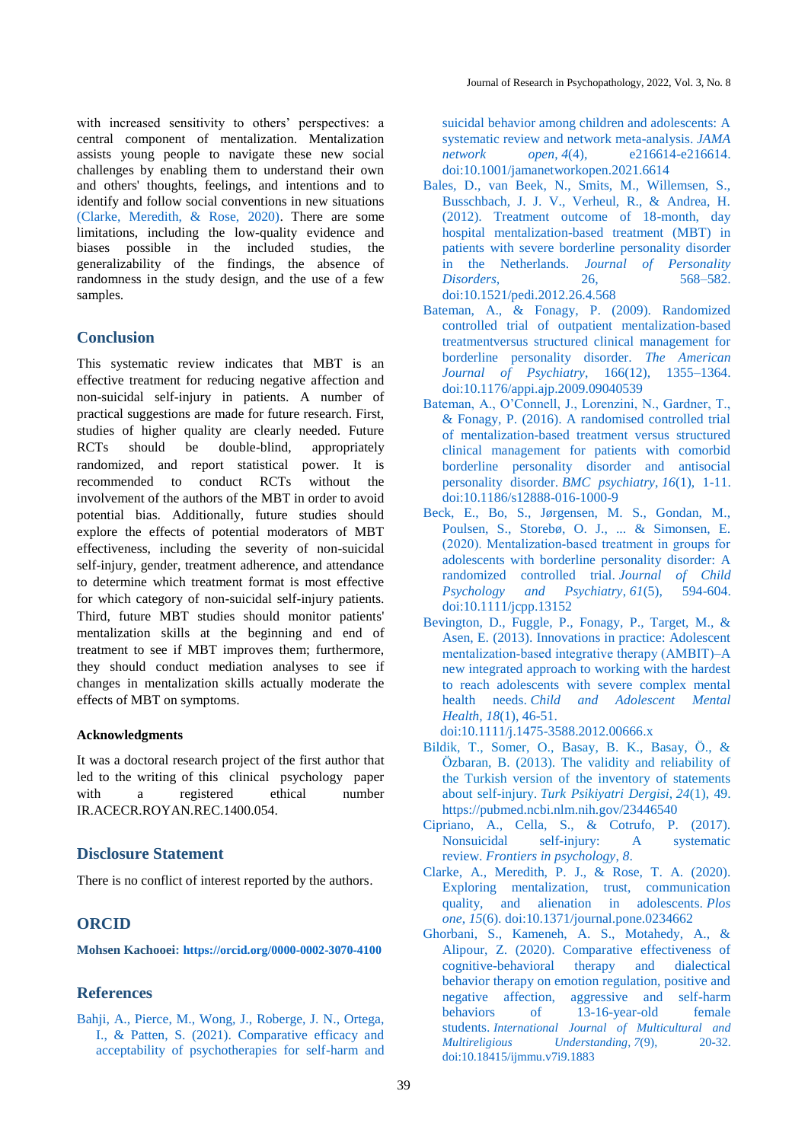<span id="page-5-9"></span>with increased sensitivity to others' perspectives: a central component of mentalization. Mentalization assists young people to navigate these new social challenges by enabling them to understand their own and others' thoughts, feelings, and intentions and to identify and follow social conventions in new situations [\(Clarke, Meredith, & Rose, 2020\).](#page-5-8) There are some limitations, including the low-quality evidence and biases possible in the included studies, the generalizability of the findings, the absence of randomness in the study design, and the use of a few samples.

## **Conclusion**

This systematic review indicates that MBT is an effective treatment for reducing negative affection and non-suicidal self-injury in patients. A number of practical suggestions are made for future research. First, studies of higher quality are clearly needed. Future RCTs should be double-blind, appropriately randomized, and report statistical power. It is recommended to conduct RCTs without the involvement of the authors of the MBT in order to avoid potential bias. Additionally, future studies should explore the effects of potential moderators of MBT effectiveness, including the severity of non-suicidal self-injury, gender, treatment adherence, and attendance to determine which treatment format is most effective for which category of non-suicidal self-injury patients. Third, future MBT studies should monitor patients' mentalization skills at the beginning and end of treatment to see if MBT improves them; furthermore, they should conduct mediation analyses to see if changes in mentalization skills actually moderate the effects of MBT on symptoms.

### **Acknowledgments**

It was a doctoral research project of the first author that led to the writing of this clinical psychology paper with a registered ethical number IR.ACECR.ROYAN.REC.1400.054.

## **Disclosure Statement**

There is no conflict of interest reported by the authors.

## **ORCID**

**Mohsen Kachooei: <https://orcid.org/0000-0002-3070-4100>**

### **References**

<span id="page-5-2"></span>[Bahji, A., Pierce, M., Wong, J., Roberge, J. N., Ortega,](#page-1-0)  [I., & Patten, S. \(2021\). Comparative efficacy and](#page-1-0)  [acceptability of psychotherapies for self-harm and](#page-1-0)  [suicidal behavior among children and adolescents: A](#page-1-0)  [systematic review and network meta-analysis.](#page-1-0) *JAMA network open*, *4*[\(4\), e216614-e216614.](#page-1-0) [doi:10.1001/jamanetworkopen.2021.6614](https://doi.org/10.1001/jamanetworkopen.2021.6614)

- <span id="page-5-6"></span>[Bales, D., van Beek, N., Smits, M., Willemsen, S.,](#page-4-0)  [Busschbach, J. J. V., Verheul, R., & Andrea, H.](#page-4-0)  [\(2012\). Treatment outcome of 18-month, day](#page-4-0)  [hospital mentalization-based treatment \(MBT\) in](#page-4-0)  [patients with severe borderline personality disorder](#page-4-0)  in the Netherlands. *[Journal of Personality](#page-4-0)  Disorders*[, 26, 568–582.](#page-4-0) [doi:10.1521/pedi.2012.26.4.568](https://doi.org/10.1521/pedi.2012.26.4.568)
- <span id="page-5-7"></span>[Bateman, A., & Fonagy, P. \(2009\). Randomized](#page-4-1)  [controlled trial of outpatient mentalization-based](#page-4-1)  [treatmentversus structured clinical management for](#page-4-1)  [borderline personality disorder.](#page-4-1) *The American Journal of Psychiatry*[, 166\(12\), 1355–1364.](#page-4-1) [doi:10.1176/appi.ajp.2009.09040539](https://doi.org/10.1176/appi.ajp.2009.09040539)
- <span id="page-5-3"></span>[Bateman, A., O'Connell, J., Lorenzini, N., Gardner, T.,](#page-2-0)  [& Fonagy, P. \(2016\). A randomised controlled trial](#page-2-0)  [of mentalization-based treatment versus structured](#page-2-0)  [clinical management for patients with comorbid](#page-2-0)  [borderline personality disorder and antisocial](#page-2-0)  [personality disorder.](#page-2-0) *BMC psychiatry*, *16*(1), 1-11. [doi:10.1186/s12888-016-1000-9](https://doi.org/10.1186/s12888-016-1000-9)
- <span id="page-5-5"></span>[Beck, E., Bo, S., Jørgensen, M. S., Gondan, M.,](#page-4-2)  [Poulsen, S., Storebø, O. J., ... & Simonsen, E.](#page-4-2)  [\(2020\). Mentalization‐based treatment in groups for](#page-4-2)  [adolescents with borderline personality disorder: A](#page-4-2)  [randomized controlled trial.](#page-4-2) *Journal of Child and Psychiatry*,  $61(5)$ , 594-604. [doi:10.1111/jcpp.13152](https://doi.org/10.1111/jcpp.13152)
- <span id="page-5-4"></span>[Bevington, D., Fuggle, P., Fonagy, P., Target, M., &](#page-4-3)  [Asen, E. \(2013\). Innovations in practice: Adolescent](#page-4-3)  mentalization-based integrative therapy (AMBIT)-A [new integrated approach to working with the hardest](#page-4-3)  [to reach adolescents with severe complex mental](#page-4-3)  health needs. *[Child and Adolescent Mental](#page-4-3)  Health*, *18*[\(1\), 46-51.](#page-4-3)

[doi:10.1111/j.1475-3588.2012.00666.x](https://doi.org/10.1111/j.1475-3588.2012.00666.x)

- Bildik, T., Somer, O., Basay, B. K., Basay, Ö., & Özbaran, B. (2013). The validity and reliability of the Turkish version of the inventory of statements about self-injury. *Turk Psikiyatri Dergisi*, *24*(1), 49. <https://pubmed.ncbi.nlm.nih.gov/23446540>
- <span id="page-5-0"></span>[Cipriano, A., Cella, S., & Cotrufo, P. \(2017\).](#page-1-1)  [Nonsuicidal self-injury: A systematic](#page-1-1)  review. *[Frontiers in psychology](#page-1-1)*, *8*.
- <span id="page-5-8"></span>Clarke, A., Meredith, P. [J., & Rose, T. A. \(2020\).](#page-5-9)  [Exploring mentalization, trust, communication](#page-5-9)  [quality, and alienation in adolescents.](#page-5-9) *Plos [one](#page-5-9)*, *15*(6). [doi:10.1371/journal.pone.0234662](https://doi.org/10.1371/journal.pone.0234662)
- <span id="page-5-1"></span>[Ghorbani, S., Kameneh, A. S., Motahedy, A., &](#page-1-2)  [Alipour, Z. \(2020\). Comparative effectiveness of](#page-1-2)  [cognitive-behavioral therapy and dialectical](#page-1-2)  [behavior therapy on emotion regulation, positive and](#page-1-2)  [negative affection, aggressive and self-harm](#page-1-2)  [behaviors of 13-16-year-old female](#page-1-2)  students. *[International Journal of Multicultural and](#page-1-2)  [Multireligious Understanding](#page-1-2)*, *7*(9), 20-32. [doi:10.18415/ijmmu.v7i9.1883](http://dx.doi.org/10.18415/ijmmu.v7i9.1883)